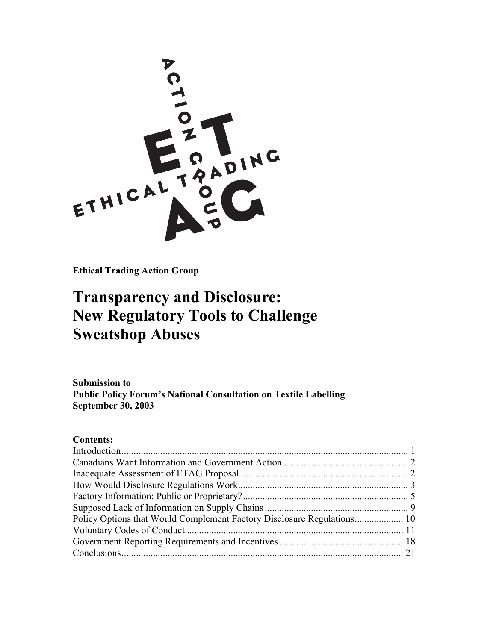

**Ethical Trading Action Group** 

# **Transparency and Disclosure: New Regulatory Tools to Challenge Sweatshop Abuses**

**Submission to Public Policy Forum's National Consultation on Textile Labelling September 30, 2003** 

# **Contents:**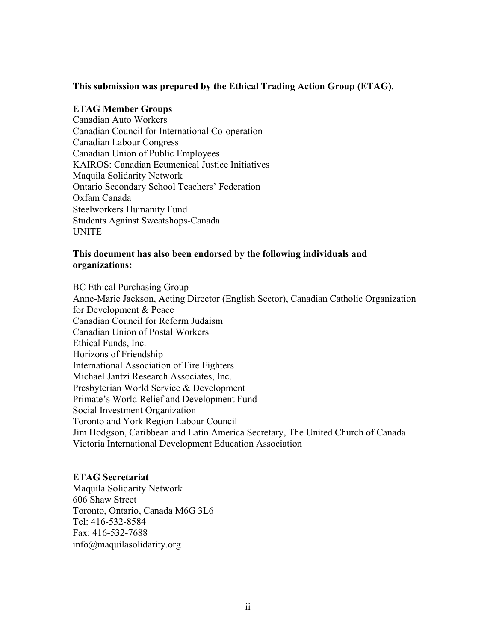#### **This submission was prepared by the Ethical Trading Action Group (ETAG).**

#### **ETAG Member Groups**

Canadian Auto Workers Canadian Council for International Co-operation Canadian Labour Congress Canadian Union of Public Employees KAIROS: Canadian Ecumenical Justice Initiatives Maquila Solidarity Network Ontario Secondary School Teachers' Federation Oxfam Canada Steelworkers Humanity Fund Students Against Sweatshops-Canada UNITE

#### **This document has also been endorsed by the following individuals and organizations:**

BC Ethical Purchasing Group Anne-Marie Jackson, Acting Director (English Sector), Canadian Catholic Organization for Development & Peace Canadian Council for Reform Judaism Canadian Union of Postal Workers Ethical Funds, Inc. Horizons of Friendship International Association of Fire Fighters Michael Jantzi Research Associates, Inc. Presbyterian World Service & Development Primate's World Relief and Development Fund Social Investment Organization Toronto and York Region Labour Council Jim Hodgson, Caribbean and Latin America Secretary, The United Church of Canada Victoria International Development Education Association

#### **ETAG Secretariat**

Maquila Solidarity Network 606 Shaw Street Toronto, Ontario, Canada M6G 3L6 Tel: 416-532-8584 Fax: 416-532-7688 info@maquilasolidarity.org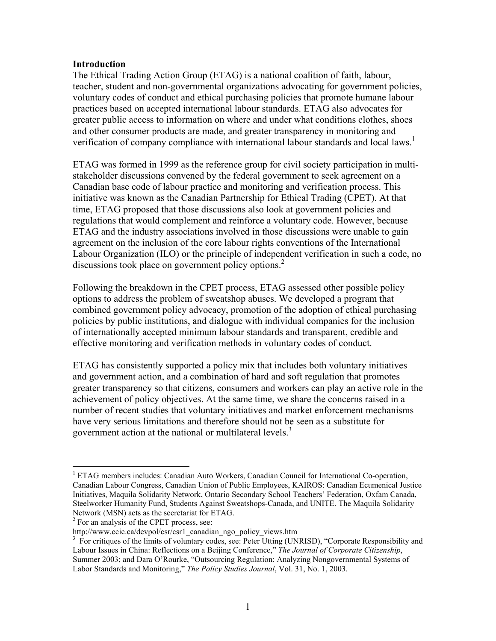#### **Introduction**

The Ethical Trading Action Group (ETAG) is a national coalition of faith, labour, teacher, student and non-governmental organizations advocating for government policies, voluntary codes of conduct and ethical purchasing policies that promote humane labour practices based on accepted international labour standards. ETAG also advocates for greater public access to information on where and under what conditions clothes, shoes and other consumer products are made, and greater transparency in monitoring and verification of company compliance with international labour standards and local laws.<sup>1</sup>

ETAG was formed in 1999 as the reference group for civil society participation in multistakeholder discussions convened by the federal government to seek agreement on a Canadian base code of labour practice and monitoring and verification process. This initiative was known as the Canadian Partnership for Ethical Trading (CPET). At that time, ETAG proposed that those discussions also look at government policies and regulations that would complement and reinforce a voluntary code. However, because ETAG and the industry associations involved in those discussions were unable to gain agreement on the inclusion of the core labour rights conventions of the International Labour Organization (ILO) or the principle of independent verification in such a code, no discussions took place on government policy options.<sup>2</sup>

Following the breakdown in the CPET process, ETAG assessed other possible policy options to address the problem of sweatshop abuses. We developed a program that combined government policy advocacy, promotion of the adoption of ethical purchasing policies by public institutions, and dialogue with individual companies for the inclusion of internationally accepted minimum labour standards and transparent, credible and effective monitoring and verification methods in voluntary codes of conduct.

ETAG has consistently supported a policy mix that includes both voluntary initiatives and government action, and a combination of hard and soft regulation that promotes greater transparency so that citizens, consumers and workers can play an active role in the achievement of policy objectives. At the same time, we share the concerns raised in a number of recent studies that voluntary initiatives and market enforcement mechanisms have very serious limitations and therefore should not be seen as a substitute for government action at the national or multilateral levels.<sup>3</sup>

<sup>&</sup>lt;sup>1</sup> ETAG members includes: Canadian Auto Workers, Canadian Council for International Co-operation, Canadian Labour Congress, Canadian Union of Public Employees, KAIROS: Canadian Ecumenical Justice Initiatives, Maquila Solidarity Network, Ontario Secondary School Teachers' Federation, Oxfam Canada, Steelworker Humanity Fund, Students Against Sweatshops-Canada, and UNITE. The Maquila Solidarity Network (MSN) acts as the secretariat for ETAG.

<sup>&</sup>lt;sup>2</sup> For an analysis of the CPET process, see:

http://www.ccic.ca/devpol/csr/csr1\_canadian\_ngo\_policy\_views.htm

<sup>&</sup>lt;sup>3</sup> For critiques of the limits of voluntary codes, see: Peter Utting (UNRISD), "Corporate Responsibility and Labour Issues in China: Reflections on a Beijing Conference," *The Journal of Corporate Citizenship*, Summer 2003; and Dara O'Rourke, "Outsourcing Regulation: Analyzing Nongovernmental Systems of Labor Standards and Monitoring," *The Policy Studies Journal*, Vol. 31, No. 1, 2003.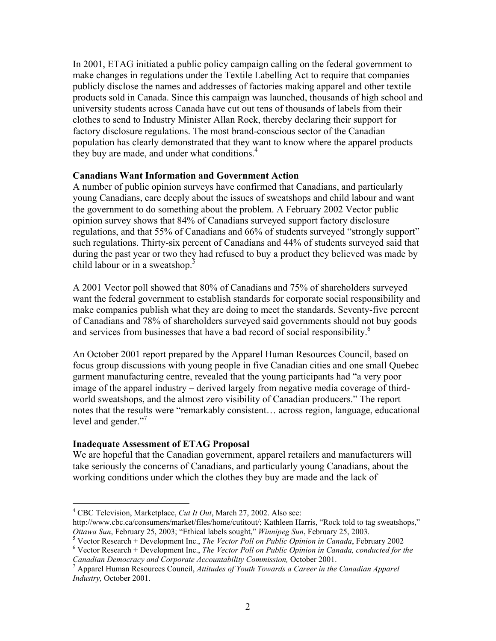In 2001, ETAG initiated a public policy campaign calling on the federal government to make changes in regulations under the Textile Labelling Act to require that companies publicly disclose the names and addresses of factories making apparel and other textile products sold in Canada. Since this campaign was launched, thousands of high school and university students across Canada have cut out tens of thousands of labels from their clothes to send to Industry Minister Allan Rock, thereby declaring their support for factory disclosure regulations. The most brand-conscious sector of the Canadian population has clearly demonstrated that they want to know where the apparel products they buy are made, and under what conditions.<sup>4</sup>

#### **Canadians Want Information and Government Action**

A number of public opinion surveys have confirmed that Canadians, and particularly young Canadians, care deeply about the issues of sweatshops and child labour and want the government to do something about the problem. A February 2002 Vector public opinion survey shows that 84% of Canadians surveyed support factory disclosure regulations, and that 55% of Canadians and 66% of students surveyed "strongly support" such regulations. Thirty-six percent of Canadians and 44% of students surveyed said that during the past year or two they had refused to buy a product they believed was made by child labour or in a sweatshop.<sup>5</sup>

A 2001 Vector poll showed that 80% of Canadians and 75% of shareholders surveyed want the federal government to establish standards for corporate social responsibility and make companies publish what they are doing to meet the standards. Seventy-five percent of Canadians and 78% of shareholders surveyed said governments should not buy goods and services from businesses that have a bad record of social responsibility.<sup>6</sup>

An October 2001 report prepared by the Apparel Human Resources Council, based on focus group discussions with young people in five Canadian cities and one small Quebec garment manufacturing centre, revealed that the young participants had "a very poor image of the apparel industry – derived largely from negative media coverage of thirdworld sweatshops, and the almost zero visibility of Canadian producers." The report notes that the results were "remarkably consistent… across region, language, educational level and gender."<sup>7</sup>

## **Inadequate Assessment of ETAG Proposal**

 $\overline{a}$ 

We are hopeful that the Canadian government, apparel retailers and manufacturers will take seriously the concerns of Canadians, and particularly young Canadians, about the working conditions under which the clothes they buy are made and the lack of

<sup>4</sup> CBC Television, Marketplace, *Cut It Out*, March 27, 2002. Also see:

http://www.cbc.ca/consumers/market/files/home/cutitout/; Kathleen Harris, "Rock told to tag sweatshops," *Ottawa Sun*, February 25, 2003; "Ethical labels sought," *Winnipeg Sun*, February 25, 2003. 5

<sup>&</sup>lt;sup>5</sup> Vector Research + Development Inc., *The Vector Poll on Public Opinion in Canada*, February 2002

Vector Research + Development Inc., *The Vector Poll on Public Opinion in Canada, conducted for the Canadian Democracy and Corporate Accountability Commission,* October 2001. 7

Apparel Human Resources Council, *Attitudes of Youth Towards a Career in the Canadian Apparel Industry,* October 2001.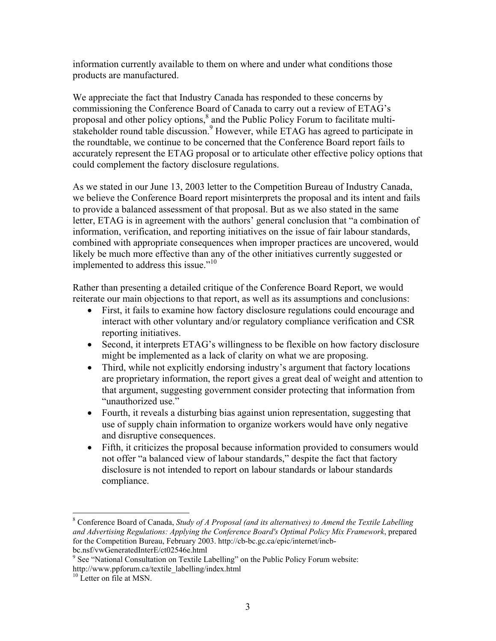information currently available to them on where and under what conditions those products are manufactured.

We appreciate the fact that Industry Canada has responded to these concerns by commissioning the Conference Board of Canada to carry out a review of ETAG's proposal and other policy options,<sup>8</sup> and the Public Policy Forum to facilitate multistakeholder round table discussion.<sup>9</sup> However, while ETAG has agreed to participate in the roundtable, we continue to be concerned that the Conference Board report fails to accurately represent the ETAG proposal or to articulate other effective policy options that could complement the factory disclosure regulations.

As we stated in our June 13, 2003 letter to the Competition Bureau of Industry Canada, we believe the Conference Board report misinterprets the proposal and its intent and fails to provide a balanced assessment of that proposal. But as we also stated in the same letter, ETAG is in agreement with the authors' general conclusion that "a combination of information, verification, and reporting initiatives on the issue of fair labour standards, combined with appropriate consequences when improper practices are uncovered, would likely be much more effective than any of the other initiatives currently suggested or implemented to address this issue."<sup>10</sup>

Rather than presenting a detailed critique of the Conference Board Report, we would reiterate our main objections to that report, as well as its assumptions and conclusions:

- First, it fails to examine how factory disclosure regulations could encourage and interact with other voluntary and/or regulatory compliance verification and CSR reporting initiatives.
- Second, it interprets ETAG's willingness to be flexible on how factory disclosure might be implemented as a lack of clarity on what we are proposing.
- Third, while not explicitly endorsing industry's argument that factory locations are proprietary information, the report gives a great deal of weight and attention to that argument, suggesting government consider protecting that information from "unauthorized use."
- Fourth, it reveals a disturbing bias against union representation, suggesting that use of supply chain information to organize workers would have only negative and disruptive consequences.
- Fifth, it criticizes the proposal because information provided to consumers would not offer "a balanced view of labour standards," despite the fact that factory disclosure is not intended to report on labour standards or labour standards compliance.

<sup>8</sup> Conference Board of Canada, *Study of A Proposal (and its alternatives) to Amend the Textile Labelling and Advertising Regulations: Applying the Conference Board's Optimal Policy Mix Framework*, prepared for the Competition Bureau, February 2003. http://cb-bc.gc.ca/epic/internet/incbbc.nsf/vwGeneratedInterE/ct02546e.html

<sup>&</sup>lt;sup>9</sup> See "National Consultation on Textile Labelling" on the Public Policy Forum website: http://www.ppforum.ca/textile\_labelling/index.html <sup>10</sup> Letter on file at MSN.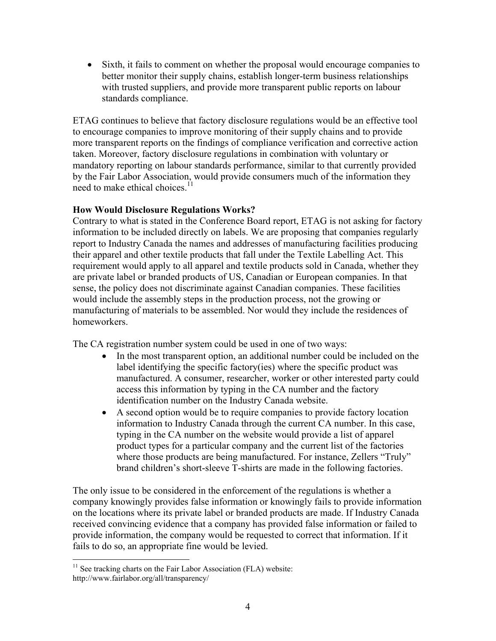• Sixth, it fails to comment on whether the proposal would encourage companies to better monitor their supply chains, establish longer-term business relationships with trusted suppliers, and provide more transparent public reports on labour standards compliance.

ETAG continues to believe that factory disclosure regulations would be an effective tool to encourage companies to improve monitoring of their supply chains and to provide more transparent reports on the findings of compliance verification and corrective action taken. Moreover, factory disclosure regulations in combination with voluntary or mandatory reporting on labour standards performance, similar to that currently provided by the Fair Labor Association, would provide consumers much of the information they need to make ethical choices.<sup>11</sup>

## **How Would Disclosure Regulations Works?**

Contrary to what is stated in the Conference Board report, ETAG is not asking for factory information to be included directly on labels. We are proposing that companies regularly report to Industry Canada the names and addresses of manufacturing facilities producing their apparel and other textile products that fall under the Textile Labelling Act. This requirement would apply to all apparel and textile products sold in Canada, whether they are private label or branded products of US, Canadian or European companies. In that sense, the policy does not discriminate against Canadian companies. These facilities would include the assembly steps in the production process, not the growing or manufacturing of materials to be assembled. Nor would they include the residences of homeworkers.

The CA registration number system could be used in one of two ways:

- In the most transparent option, an additional number could be included on the label identifying the specific factory(ies) where the specific product was manufactured. A consumer, researcher, worker or other interested party could access this information by typing in the CA number and the factory identification number on the Industry Canada website.
- A second option would be to require companies to provide factory location information to Industry Canada through the current CA number. In this case, typing in the CA number on the website would provide a list of apparel product types for a particular company and the current list of the factories where those products are being manufactured. For instance, Zellers "Truly" brand children's short-sleeve T-shirts are made in the following factories.

The only issue to be considered in the enforcement of the regulations is whether a company knowingly provides false information or knowingly fails to provide information on the locations where its private label or branded products are made. If Industry Canada received convincing evidence that a company has provided false information or failed to provide information, the company would be requested to correct that information. If it fails to do so, an appropriate fine would be levied.

 $11$  See tracking charts on the Fair Labor Association (FLA) website: http://www.fairlabor.org/all/transparency/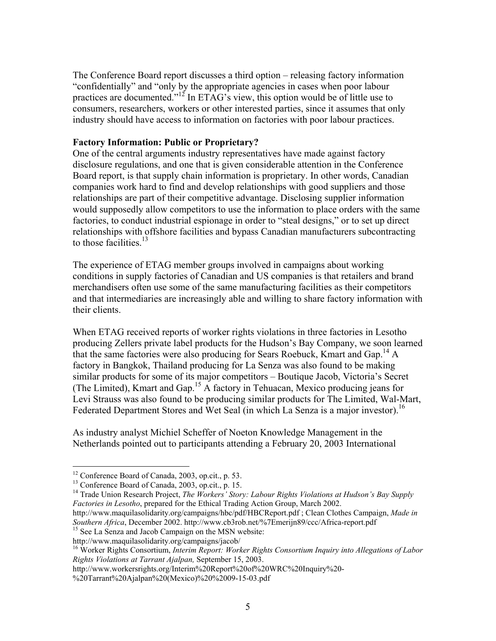The Conference Board report discusses a third option – releasing factory information "confidentially" and "only by the appropriate agencies in cases when poor labour practices are documented."12 In ETAG's view, this option would be of little use to consumers, researchers, workers or other interested parties, since it assumes that only industry should have access to information on factories with poor labour practices.

#### **Factory Information: Public or Proprietary?**

One of the central arguments industry representatives have made against factory disclosure regulations, and one that is given considerable attention in the Conference Board report, is that supply chain information is proprietary. In other words, Canadian companies work hard to find and develop relationships with good suppliers and those relationships are part of their competitive advantage. Disclosing supplier information would supposedly allow competitors to use the information to place orders with the same factories, to conduct industrial espionage in order to "steal designs," or to set up direct relationships with offshore facilities and bypass Canadian manufacturers subcontracting to those facilities  $^{13}$ .

The experience of ETAG member groups involved in campaigns about working conditions in supply factories of Canadian and US companies is that retailers and brand merchandisers often use some of the same manufacturing facilities as their competitors and that intermediaries are increasingly able and willing to share factory information with their clients.

When ETAG received reports of worker rights violations in three factories in Lesotho producing Zellers private label products for the Hudson's Bay Company, we soon learned that the same factories were also producing for Sears Roebuck, Kmart and Gap.<sup>14</sup> A factory in Bangkok, Thailand producing for La Senza was also found to be making similar products for some of its major competitors – Boutique Jacob, Victoria's Secret (The Limited), Kmart and Gap.<sup>15</sup> A factory in Tehuacan, Mexico producing jeans for Levi Strauss was also found to be producing similar products for The Limited, Wal-Mart, Federated Department Stores and Wet Seal (in which La Senza is a major investor).<sup>16</sup>

As industry analyst Michiel Scheffer of Noeton Knowledge Management in the Netherlands pointed out to participants attending a February 20, 2003 International

<sup>12</sup> Conference Board of Canada, 2003, op.cit., p. 53.

<sup>13</sup> Conference Board of Canada, 2003, op.cit., p. 15.

<sup>&</sup>lt;sup>14</sup> Trade Union Research Project, *The Workers' Story: Labour Rights Violations at Hudson's Bay Supply Factories in Lesotho*, prepared for the Ethical Trading Action Group, March 2002.

http://www.maquilasolidarity.org/campaigns/hbc/pdf/HBCReport.pdf ; Clean Clothes Campaign, *Made in Southern Africa*, December 2002. http://www.cb3rob.net/%7Emerijn89/ccc/Africa-report.pdf 15 See La Senza and Jacob Campaign on the MSN website:

http://www.maquilasolidarity.org/campaigns/jacob/<br><sup>16</sup> Worker Rights Consortium, *Interim Report: Worker Rights Consortium Inquiry into Allegations of Labor Rights Violations at Tarrant Ajalpan,* September 15, 2003.

http://www.workersrights.org/Interim%20Report%20of%20WRC%20Inquiry%20-

<sup>%20</sup>Tarrant%20Ajalpan%20(Mexico)%20%2009-15-03.pdf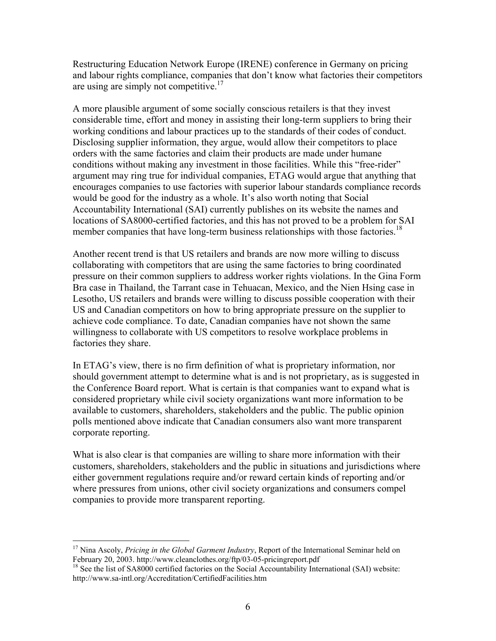Restructuring Education Network Europe (IRENE) conference in Germany on pricing and labour rights compliance, companies that don't know what factories their competitors are using are simply not competitive.<sup>17</sup>

A more plausible argument of some socially conscious retailers is that they invest considerable time, effort and money in assisting their long-term suppliers to bring their working conditions and labour practices up to the standards of their codes of conduct. Disclosing supplier information, they argue, would allow their competitors to place orders with the same factories and claim their products are made under humane conditions without making any investment in those facilities. While this "free-rider" argument may ring true for individual companies, ETAG would argue that anything that encourages companies to use factories with superior labour standards compliance records would be good for the industry as a whole. It's also worth noting that Social Accountability International (SAI) currently publishes on its website the names and locations of SA8000-certified factories, and this has not proved to be a problem for SAI member companies that have long-term business relationships with those factories.<sup>18</sup>

Another recent trend is that US retailers and brands are now more willing to discuss collaborating with competitors that are using the same factories to bring coordinated pressure on their common suppliers to address worker rights violations. In the Gina Form Bra case in Thailand, the Tarrant case in Tehuacan, Mexico, and the Nien Hsing case in Lesotho, US retailers and brands were willing to discuss possible cooperation with their US and Canadian competitors on how to bring appropriate pressure on the supplier to achieve code compliance. To date, Canadian companies have not shown the same willingness to collaborate with US competitors to resolve workplace problems in factories they share.

In ETAG's view, there is no firm definition of what is proprietary information, nor should government attempt to determine what is and is not proprietary, as is suggested in the Conference Board report. What is certain is that companies want to expand what is considered proprietary while civil society organizations want more information to be available to customers, shareholders, stakeholders and the public. The public opinion polls mentioned above indicate that Canadian consumers also want more transparent corporate reporting.

What is also clear is that companies are willing to share more information with their customers, shareholders, stakeholders and the public in situations and jurisdictions where either government regulations require and/or reward certain kinds of reporting and/or where pressures from unions, other civil society organizations and consumers compel companies to provide more transparent reporting.

<sup>&</sup>lt;sup>17</sup> Nina Ascoly, *Pricing in the Global Garment Industry*, Report of the International Seminar held on February 20, 2003. http://www.cleanclothes.org/ftp/03-05-pricingreport.pdf<br><sup>18</sup> See the list of SA8000 certified factories on the Social Accountability International (SAI) website:

http://www.sa-intl.org/Accreditation/CertifiedFacilities.htm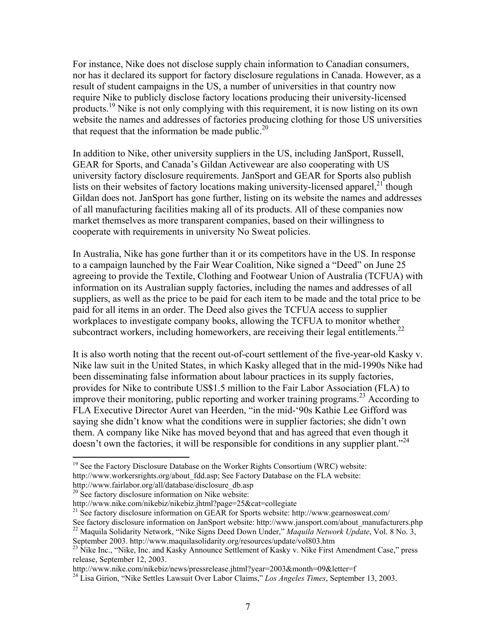For instance, Nike does not disclose supply chain information to Canadian consumers, nor has it declared its support for factory disclosure regulations in Canada. However, as a result of student campaigns in the US, a number of universities in that country now require Nike to publicly disclose factory locations producing their university-licensed products.<sup>19</sup> Nike is not only complying with this requirement, it is now listing on its own website the names and addresses of factories producing clothing for those US universities that request that the information be made public.<sup>20</sup>

In addition to Nike, other university suppliers in the US, including JanSport, Russell, GEAR for Sports, and Canada's Gildan Activewear are also cooperating with US university factory disclosure requirements. JanSport and GEAR for Sports also publish lists on their websites of factory locations making university-licensed apparel, $^{21}$  though Gildan does not. JanSport has gone further, listing on its website the names and addresses of all manufacturing facilities making all of its products. All of these companies now market themselves as more transparent companies, based on their willingness to cooperate with requirements in university No Sweat policies.

In Australia, Nike has gone further than it or its competitors have in the US. In response to a campaign launched by the Fair Wear Coalition, Nike signed a "Deed" on June 25 agreeing to provide the Textile, Clothing and Footwear Union of Australia (TCFUA) with information on its Australian supply factories, including the names and addresses of all suppliers, as well as the price to be paid for each item to be made and the total price to be paid for all items in an order. The Deed also gives the TCFUA access to supplier workplaces to investigate company books, allowing the TCFUA to monitor whether subcontract workers, including homeworkers, are receiving their legal entitlements. $^{22}$ 

It is also worth noting that the recent out-of-court settlement of the five-year-old Kasky v. Nike law suit in the United States, in which Kasky alleged that in the mid-1990s Nike had been disseminating false information about labour practices in its supply factories, provides for Nike to contribute US\$1.5 million to the Fair Labor Association (FLA) to improve their monitoring, public reporting and worker training programs.<sup>23</sup> According to FLA Executive Director Auret van Heerden, "in the mid-'90s Kathie Lee Gifford was saying she didn't know what the conditions were in supplier factories; she didn't own them. A company like Nike has moved beyond that and has agreed that even though it doesn't own the factories, it will be responsible for conditions in any supplier plant."<sup>24</sup>

<sup>&</sup>lt;sup>19</sup> See the Factory Disclosure Database on the Worker Rights Consortium (WRC) website: http://www.workersrights.org/about fdd.asp; See Factory Database on the FLA website:

http://www.fairlabor.org/all/database/disclosure\_db.asp<br><sup>20</sup> See factory disclosure information on Nike website:<br>http://www.nike.com/nikebiz/nikebiz.jhtml?page=25&cat=collegiate

<sup>&</sup>lt;sup>21</sup> See factory disclosure information on GEAR for Sports website: http://www.gearnosweat.com/<br>See factory disclosure information on JanSport website: http://www.jansport.com/about manufacturers.php

<sup>&</sup>lt;sup>22</sup> Maquila Solidarity Network, "Nike Signs Deed Down Under," *Maquila Network Update*, Vol. 8 No. 3,

September 2003. http://www.maquilasolidarity.org/resources/update/vol803.htm<br><sup>23</sup> Nike Inc., "Nike, Inc. and Kasky Announce Settlement of Kasky v. Nike First Amendment Case," press release, September 12, 2003.

http://www.nike.com/nikebiz/news/pressrelease.jhtml?year=2003&month=09&letter=f

<sup>24</sup> Lisa Girion, "Nike Settles Lawsuit Over Labor Claims," *Los Angeles Times*, September 13, 2003.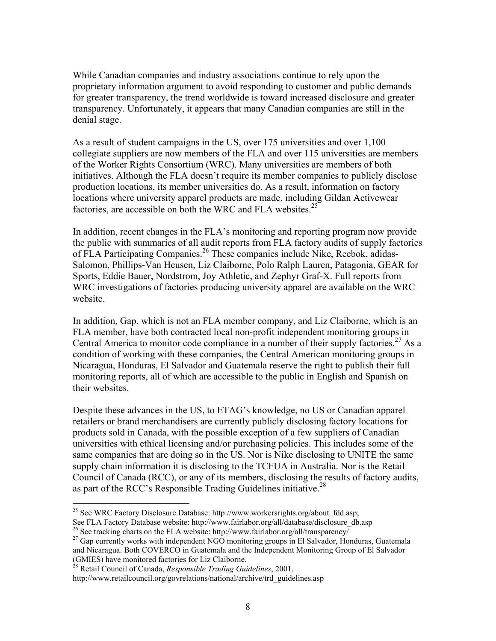While Canadian companies and industry associations continue to rely upon the proprietary information argument to avoid responding to customer and public demands for greater transparency, the trend worldwide is toward increased disclosure and greater transparency. Unfortunately, it appears that many Canadian companies are still in the denial stage.

As a result of student campaigns in the US, over 175 universities and over 1,100 collegiate suppliers are now members of the FLA and over 115 universities are members of the Worker Rights Consortium (WRC). Many universities are members of both initiatives. Although the FLA doesn't require its member companies to publicly disclose production locations, its member universities do. As a result, information on factory locations where university apparel products are made, including Gildan Activewear factories, are accessible on both the WRC and FLA websites. $25$ 

In addition, recent changes in the FLA's monitoring and reporting program now provide the public with summaries of all audit reports from FLA factory audits of supply factories of FLA Participating Companies.26 These companies include Nike, Reebok, adidas-Salomon, Phillips-Van Heusen, Liz Claiborne, Polo Ralph Lauren, Patagonia, GEAR for Sports, Eddie Bauer, Nordstrom, Joy Athletic, and Zephyr Graf-X. Full reports from WRC investigations of factories producing university apparel are available on the WRC website.

In addition, Gap, which is not an FLA member company, and Liz Claiborne, which is an FLA member, have both contracted local non-profit independent monitoring groups in Central America to monitor code compliance in a number of their supply factories.<sup>27</sup> As a condition of working with these companies, the Central American monitoring groups in Nicaragua, Honduras, El Salvador and Guatemala reserve the right to publish their full monitoring reports, all of which are accessible to the public in English and Spanish on their websites.

Despite these advances in the US, to ETAG's knowledge, no US or Canadian apparel retailers or brand merchandisers are currently publicly disclosing factory locations for products sold in Canada, with the possible exception of a few suppliers of Canadian universities with ethical licensing and/or purchasing policies. This includes some of the same companies that are doing so in the US. Nor is Nike disclosing to UNITE the same supply chain information it is disclosing to the TCFUA in Australia. Nor is the Retail Council of Canada (RCC), or any of its members, disclosing the results of factory audits, as part of the RCC's Responsible Trading Guidelines initiative.<sup>28</sup>

<sup>&</sup>lt;sup>25</sup> See WRC Factory Disclosure Database: http://www.workersrights.org/about\_fdd.asp;<br>See FLA Factory Database website: http://www.fairlabor.org/all/database/disclosure db.asp

<sup>&</sup>lt;sup>26</sup> See tracking charts on the FLA website: http://www.fairlabor.org/all/transparency/ $\frac{1}{27}$  Gap currently works with independent NGO monitoring groups in El Salvador, Honduras, Guatemala and Nicaragua. Both COVERCO in Guatemala and the Independent Monitoring Group of El Salvador (GMIES) have monitored factories for Liz Claiborne.

<sup>28</sup> Retail Council of Canada, *Responsible Trading Guidelines*, 2001.

http://www.retailcouncil.org/govrelations/national/archive/trd\_guidelines.asp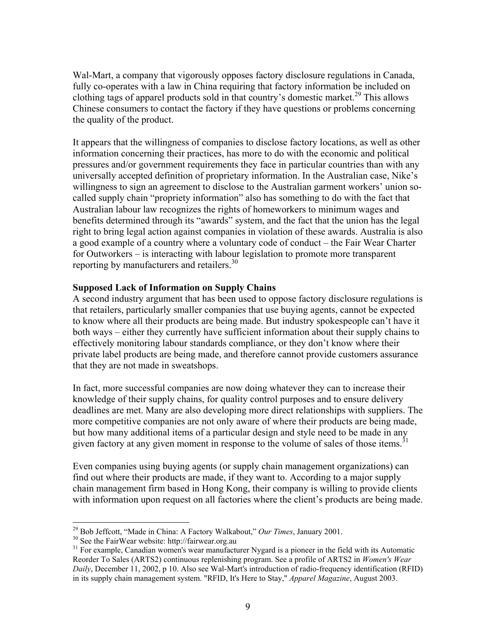Wal-Mart, a company that vigorously opposes factory disclosure regulations in Canada, fully co-operates with a law in China requiring that factory information be included on clothing tags of apparel products sold in that country's domestic market.<sup>29</sup> This allows Chinese consumers to contact the factory if they have questions or problems concerning the quality of the product.

It appears that the willingness of companies to disclose factory locations, as well as other information concerning their practices, has more to do with the economic and political pressures and/or government requirements they face in particular countries than with any universally accepted definition of proprietary information. In the Australian case, Nike's willingness to sign an agreement to disclose to the Australian garment workers' union socalled supply chain "propriety information" also has something to do with the fact that Australian labour law recognizes the rights of homeworkers to minimum wages and benefits determined through its "awards" system, and the fact that the union has the legal right to bring legal action against companies in violation of these awards. Australia is also a good example of a country where a voluntary code of conduct – the Fair Wear Charter for Outworkers – is interacting with labour legislation to promote more transparent reporting by manufacturers and retailers.<sup>30</sup>

#### **Supposed Lack of Information on Supply Chains**

A second industry argument that has been used to oppose factory disclosure regulations is that retailers, particularly smaller companies that use buying agents, cannot be expected to know where all their products are being made. But industry spokespeople can't have it both ways – either they currently have sufficient information about their supply chains to effectively monitoring labour standards compliance, or they don't know where their private label products are being made, and therefore cannot provide customers assurance that they are not made in sweatshops.

In fact, more successful companies are now doing whatever they can to increase their knowledge of their supply chains, for quality control purposes and to ensure delivery deadlines are met. Many are also developing more direct relationships with suppliers. The more competitive companies are not only aware of where their products are being made, but how many additional items of a particular design and style need to be made in any given factory at any given moment in response to the volume of sales of those items.<sup>31</sup>

Even companies using buying agents (or supply chain management organizations) can find out where their products are made, if they want to. According to a major supply chain management firm based in Hong Kong, their company is willing to provide clients with information upon request on all factories where the client's products are being made.

 $\overline{a}$ <sup>29</sup> Bob Jeffcott, "Made in China: A Factory Walkabout," *Our Times*, January 2001.<br><sup>30</sup> See the FairWear website: http://fairwear.org.au

 $30$  See the FairWear website: http://fairwear.org.au<br> $31$  For example, Canadian women's wear manufacturer Nygard is a pioneer in the field with its Automatic Reorder To Sales (ARTS2) continuous replenishing program. See a profile of ARTS2 in *Women's Wear Daily*, December 11, 2002, p 10. Also see Wal-Mart's introduction of radio-frequency identification (RFID) in its supply chain management system. "RFID, It's Here to Stay," *Apparel Magazine*, August 2003.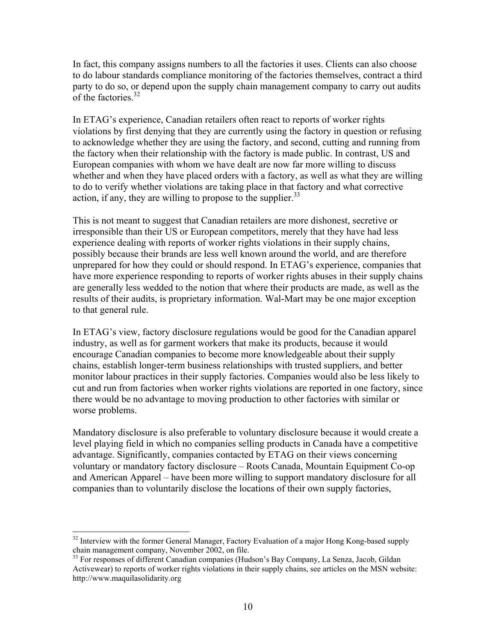In fact, this company assigns numbers to all the factories it uses. Clients can also choose to do labour standards compliance monitoring of the factories themselves, contract a third party to do so, or depend upon the supply chain management company to carry out audits of the factories.<sup>32</sup>

In ETAG's experience, Canadian retailers often react to reports of worker rights violations by first denying that they are currently using the factory in question or refusing to acknowledge whether they are using the factory, and second, cutting and running from the factory when their relationship with the factory is made public. In contrast, US and European companies with whom we have dealt are now far more willing to discuss whether and when they have placed orders with a factory, as well as what they are willing to do to verify whether violations are taking place in that factory and what corrective action, if any, they are willing to propose to the supplier.  $33$ 

This is not meant to suggest that Canadian retailers are more dishonest, secretive or irresponsible than their US or European competitors, merely that they have had less experience dealing with reports of worker rights violations in their supply chains, possibly because their brands are less well known around the world, and are therefore unprepared for how they could or should respond. In ETAG's experience, companies that have more experience responding to reports of worker rights abuses in their supply chains are generally less wedded to the notion that where their products are made, as well as the results of their audits, is proprietary information. Wal-Mart may be one major exception to that general rule.

In ETAG's view, factory disclosure regulations would be good for the Canadian apparel industry, as well as for garment workers that make its products, because it would encourage Canadian companies to become more knowledgeable about their supply chains, establish longer-term business relationships with trusted suppliers, and better monitor labour practices in their supply factories. Companies would also be less likely to cut and run from factories when worker rights violations are reported in one factory, since there would be no advantage to moving production to other factories with similar or worse problems.

Mandatory disclosure is also preferable to voluntary disclosure because it would create a level playing field in which no companies selling products in Canada have a competitive advantage. Significantly, companies contacted by ETAG on their views concerning voluntary or mandatory factory disclosure – Roots Canada, Mountain Equipment Co-op and American Apparel – have been more willing to support mandatory disclosure for all companies than to voluntarily disclose the locations of their own supply factories,

<sup>&</sup>lt;sup>32</sup> Interview with the former General Manager, Factory Evaluation of a major Hong Kong-based supply chain management company, November 2002, on file.

<sup>&</sup>lt;sup>33</sup> For responses of different Canadian companies (Hudson's Bay Company, La Senza, Jacob, Gildan Activewear) to reports of worker rights violations in their supply chains, see articles on the MSN website: http://www.maquilasolidarity.org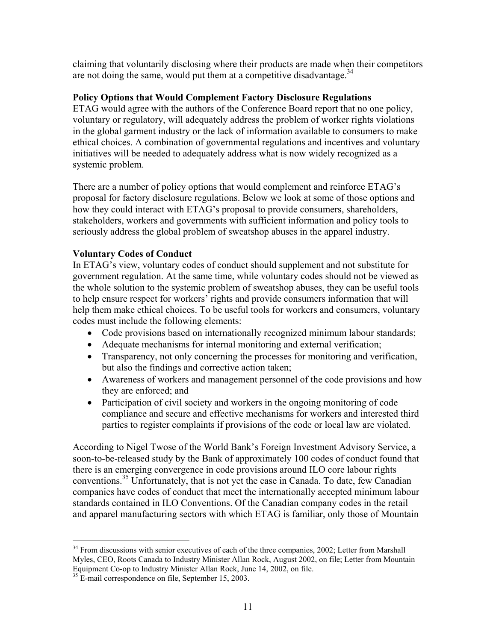claiming that voluntarily disclosing where their products are made when their competitors are not doing the same, would put them at a competitive disadvantage.<sup>34</sup>

### **Policy Options that Would Complement Factory Disclosure Regulations**

ETAG would agree with the authors of the Conference Board report that no one policy, voluntary or regulatory, will adequately address the problem of worker rights violations in the global garment industry or the lack of information available to consumers to make ethical choices. A combination of governmental regulations and incentives and voluntary initiatives will be needed to adequately address what is now widely recognized as a systemic problem.

There are a number of policy options that would complement and reinforce ETAG's proposal for factory disclosure regulations. Below we look at some of those options and how they could interact with ETAG's proposal to provide consumers, shareholders, stakeholders, workers and governments with sufficient information and policy tools to seriously address the global problem of sweatshop abuses in the apparel industry.

## **Voluntary Codes of Conduct**

In ETAG's view, voluntary codes of conduct should supplement and not substitute for government regulation. At the same time, while voluntary codes should not be viewed as the whole solution to the systemic problem of sweatshop abuses, they can be useful tools to help ensure respect for workers' rights and provide consumers information that will help them make ethical choices. To be useful tools for workers and consumers, voluntary codes must include the following elements:

- Code provisions based on internationally recognized minimum labour standards;
- Adequate mechanisms for internal monitoring and external verification;
- Transparency, not only concerning the processes for monitoring and verification, but also the findings and corrective action taken;
- Awareness of workers and management personnel of the code provisions and how they are enforced; and
- Participation of civil society and workers in the ongoing monitoring of code compliance and secure and effective mechanisms for workers and interested third parties to register complaints if provisions of the code or local law are violated.

According to Nigel Twose of the World Bank's Foreign Investment Advisory Service, a soon-to-be-released study by the Bank of approximately 100 codes of conduct found that there is an emerging convergence in code provisions around ILO core labour rights conventions.<sup>35</sup> Unfortunately, that is not yet the case in Canada. To date, few Canadian companies have codes of conduct that meet the internationally accepted minimum labour standards contained in ILO Conventions. Of the Canadian company codes in the retail and apparel manufacturing sectors with which ETAG is familiar, only those of Mountain

 $34$  From discussions with senior executives of each of the three companies, 2002; Letter from Marshall Myles, CEO, Roots Canada to Industry Minister Allan Rock, August 2002, on file; Letter from Mountain Equipment Co-op to Industry Minister Allan Rock, June 14, 2002, on file.

<sup>&</sup>lt;sup>35</sup> E-mail correspondence on file, September 15, 2003.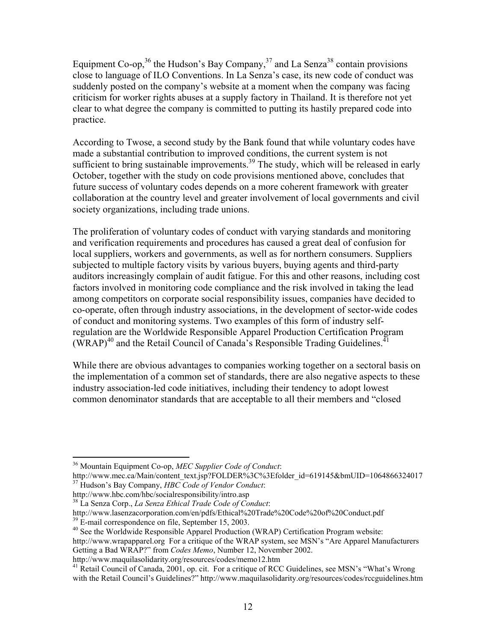Equipment Co-op,<sup>36</sup> the Hudson's Bay Company,<sup>37</sup> and La Senza<sup>38</sup> contain provisions close to language of ILO Conventions. In La Senza's case, its new code of conduct was suddenly posted on the company's website at a moment when the company was facing criticism for worker rights abuses at a supply factory in Thailand. It is therefore not yet clear to what degree the company is committed to putting its hastily prepared code into practice.

According to Twose, a second study by the Bank found that while voluntary codes have made a substantial contribution to improved conditions, the current system is not sufficient to bring sustainable improvements.<sup>39</sup> The study, which will be released in early October, together with the study on code provisions mentioned above, concludes that future success of voluntary codes depends on a more coherent framework with greater collaboration at the country level and greater involvement of local governments and civil society organizations, including trade unions.

The proliferation of voluntary codes of conduct with varying standards and monitoring and verification requirements and procedures has caused a great deal of confusion for local suppliers, workers and governments, as well as for northern consumers. Suppliers subjected to multiple factory visits by various buyers, buying agents and third-party auditors increasingly complain of audit fatigue. For this and other reasons, including cost factors involved in monitoring code compliance and the risk involved in taking the lead among competitors on corporate social responsibility issues, companies have decided to co-operate, often through industry associations, in the development of sector-wide codes of conduct and monitoring systems. Two examples of this form of industry selfregulation are the Worldwide Responsible Apparel Production Certification Program (WRAP)<sup>40</sup> and the Retail Council of Canada's Responsible Trading Guidelines.<sup>4</sup>

While there are obvious advantages to companies working together on a sectoral basis on the implementation of a common set of standards, there are also negative aspects to these industry association-led code initiatives, including their tendency to adopt lowest common denominator standards that are acceptable to all their members and "closed

http://www.maquilasolidarity.org/resources/codes/memo12.htm

 $\overline{a}$ 36 Mountain Equipment Co-op, *MEC Supplier Code of Conduct*:

http://www.mec.ca/Main/content\_text.jsp?FOLDER%3C%3Efolder\_id=619145&bmUID=1064866324017 37 Hudson's Bay Company, *HBC Code of Vendor Conduct*:

http://www.hbc.com/hbc/socialresponsibility/intro.asp

<sup>38</sup> La Senza Corp., *La Senza Ethical Trade Code of Conduct*:

http://www.lasenzacorporation.com/en/pdfs/Ethical%20Trade%20Code%20of%20Conduct.pdf <sup>39</sup> E-mail correspondence on file, September 15, 2003.

<sup>&</sup>lt;sup>40</sup> See the Worldwide Responsible Apparel Production (WRAP) Certification Program website:

http://www.wrapapparel.org For a critique of the WRAP system, see MSN's "Are Apparel Manufacturers Getting a Bad WRAP?" from *Codes Memo*, Number 12, November 2002.

<sup>&</sup>lt;sup>41</sup> Retail Council of Canada, 2001, op. cit. For a critique of RCC Guidelines, see MSN's "What's Wrong with the Retail Council's Guidelines?" http://www.maquilasolidarity.org/resources/codes/rccguidelines.htm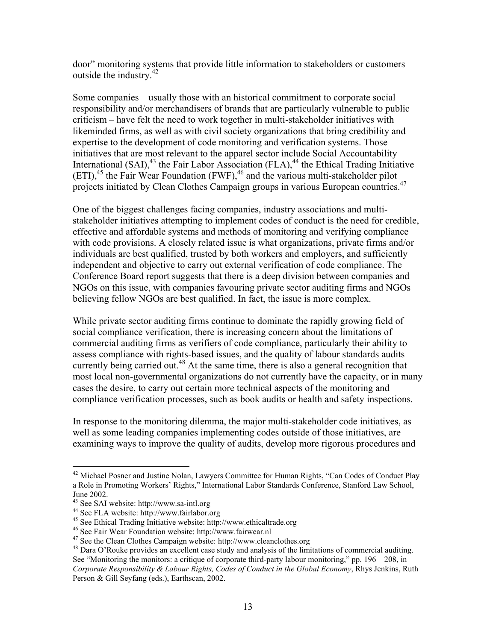door" monitoring systems that provide little information to stakeholders or customers outside the industry.42

Some companies – usually those with an historical commitment to corporate social responsibility and/or merchandisers of brands that are particularly vulnerable to public criticism – have felt the need to work together in multi-stakeholder initiatives with likeminded firms, as well as with civil society organizations that bring credibility and expertise to the development of code monitoring and verification systems. Those initiatives that are most relevant to the apparel sector include Social Accountability International  $(SAI)$ ,<sup>43</sup> the Fair Labor Association  $(FLA)$ ,<sup>44</sup> the Ethical Trading Initiative  $(ETI)$ ,<sup>45</sup> the Fair Wear Foundation  $(FWF)$ ,<sup>46</sup> and the various multi-stakeholder pilot projects initiated by Clean Clothes Campaign groups in various European countries.<sup>47</sup>

One of the biggest challenges facing companies, industry associations and multistakeholder initiatives attempting to implement codes of conduct is the need for credible, effective and affordable systems and methods of monitoring and verifying compliance with code provisions. A closely related issue is what organizations, private firms and/or individuals are best qualified, trusted by both workers and employers, and sufficiently independent and objective to carry out external verification of code compliance. The Conference Board report suggests that there is a deep division between companies and NGOs on this issue, with companies favouring private sector auditing firms and NGOs believing fellow NGOs are best qualified. In fact, the issue is more complex.

While private sector auditing firms continue to dominate the rapidly growing field of social compliance verification, there is increasing concern about the limitations of commercial auditing firms as verifiers of code compliance, particularly their ability to assess compliance with rights-based issues, and the quality of labour standards audits currently being carried out.<sup>48</sup> At the same time, there is also a general recognition that most local non-governmental organizations do not currently have the capacity, or in many cases the desire, to carry out certain more technical aspects of the monitoring and compliance verification processes, such as book audits or health and safety inspections.

In response to the monitoring dilemma, the major multi-stakeholder code initiatives, as well as some leading companies implementing codes outside of those initiatives, are examining ways to improve the quality of audits, develop more rigorous procedures and

<sup>&</sup>lt;sup>42</sup> Michael Posner and Justine Nolan, Lawyers Committee for Human Rights, "Can Codes of Conduct Play a Role in Promoting Workers' Rights," International Labor Standards Conference, Stanford Law School, June 2002.

<sup>43</sup> See SAI website: http://www.sa-intl.org

<sup>44</sup> See FLA website: http://www.fairlabor.org

<sup>&</sup>lt;sup>45</sup> See Ethical Trading Initiative website: http://www.ethicaltrade.org<br><sup>46</sup> See Fair Wear Foundation website: http://www.fairwear.nl<br><sup>47</sup> See the Clean Clothes Campaign website: http://www.cleanclothes.org

 $^{48}$  Dara O'Rouke provides an excellent case study and analysis of the limitations of commercial auditing. See "Monitoring the monitors: a critique of corporate third-party labour monitoring," pp. 196 – 208, in *Corporate Responsibility & Labour Rights, Codes of Conduct in the Global Economy*, Rhys Jenkins, Ruth Person & Gill Seyfang (eds.), Earthscan, 2002.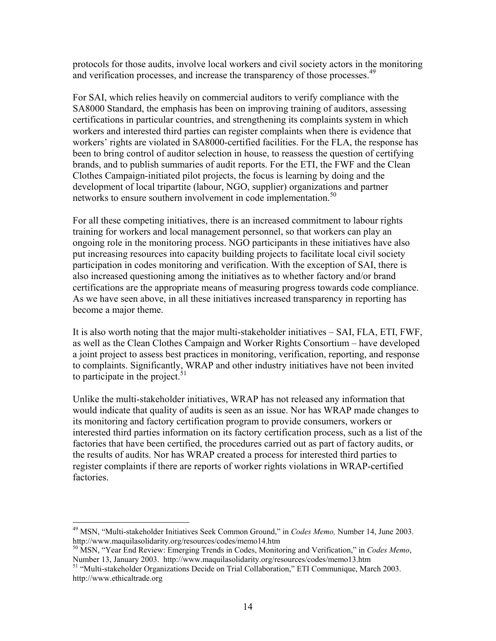protocols for those audits, involve local workers and civil society actors in the monitoring and verification processes, and increase the transparency of those processes.<sup>49</sup>

For SAI, which relies heavily on commercial auditors to verify compliance with the SA8000 Standard, the emphasis has been on improving training of auditors, assessing certifications in particular countries, and strengthening its complaints system in which workers and interested third parties can register complaints when there is evidence that workers' rights are violated in SA8000-certified facilities. For the FLA, the response has been to bring control of auditor selection in house, to reassess the question of certifying brands, and to publish summaries of audit reports. For the ETI, the FWF and the Clean Clothes Campaign-initiated pilot projects, the focus is learning by doing and the development of local tripartite (labour, NGO, supplier) organizations and partner networks to ensure southern involvement in code implementation.<sup>50</sup>

For all these competing initiatives, there is an increased commitment to labour rights training for workers and local management personnel, so that workers can play an ongoing role in the monitoring process. NGO participants in these initiatives have also put increasing resources into capacity building projects to facilitate local civil society participation in codes monitoring and verification. With the exception of SAI, there is also increased questioning among the initiatives as to whether factory and/or brand certifications are the appropriate means of measuring progress towards code compliance. As we have seen above, in all these initiatives increased transparency in reporting has become a major theme.

It is also worth noting that the major multi-stakeholder initiatives – SAI, FLA, ETI, FWF, as well as the Clean Clothes Campaign and Worker Rights Consortium – have developed a joint project to assess best practices in monitoring, verification, reporting, and response to complaints. Significantly, WRAP and other industry initiatives have not been invited to participate in the project. $51$ 

Unlike the multi-stakeholder initiatives, WRAP has not released any information that would indicate that quality of audits is seen as an issue. Nor has WRAP made changes to its monitoring and factory certification program to provide consumers, workers or interested third parties information on its factory certification process, such as a list of the factories that have been certified, the procedures carried out as part of factory audits, or the results of audits. Nor has WRAP created a process for interested third parties to register complaints if there are reports of worker rights violations in WRAP-certified factories.

<sup>49</sup> MSN, "Multi-stakeholder Initiatives Seek Common Ground," in *Codes Memo,* Number 14, June 2003. http://www.maquilasolidarity.org/resources/codes/memo14.htm

<sup>50</sup> MSN, "Year End Review: Emerging Trends in Codes, Monitoring and Verification," in *Codes Memo*,

Number 13, January 2003. http://www.maquilasolidarity.org/resources/codes/memo13.htm <sup>51</sup> "Multi-stakeholder Organizations Decide on Trial Collaboration," ETI Communique, March 2003. http://www.ethicaltrade.org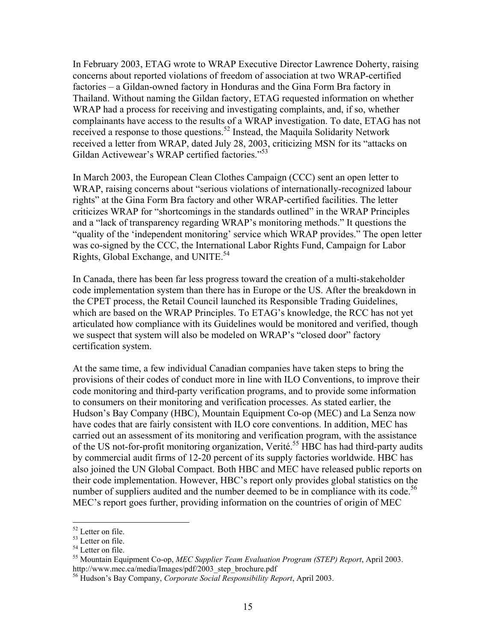In February 2003, ETAG wrote to WRAP Executive Director Lawrence Doherty, raising concerns about reported violations of freedom of association at two WRAP-certified factories – a Gildan-owned factory in Honduras and the Gina Form Bra factory in Thailand. Without naming the Gildan factory, ETAG requested information on whether WRAP had a process for receiving and investigating complaints, and, if so, whether complainants have access to the results of a WRAP investigation. To date, ETAG has not received a response to those questions.<sup>52</sup> Instead, the Maquila Solidarity Network received a letter from WRAP, dated July 28, 2003, criticizing MSN for its "attacks on Gildan Activewear's WRAP certified factories."<sup>53</sup>

In March 2003, the European Clean Clothes Campaign (CCC) sent an open letter to WRAP, raising concerns about "serious violations of internationally-recognized labour rights" at the Gina Form Bra factory and other WRAP-certified facilities. The letter criticizes WRAP for "shortcomings in the standards outlined" in the WRAP Principles and a "lack of transparency regarding WRAP's monitoring methods." It questions the "quality of the 'independent monitoring' service which WRAP provides." The open letter was co-signed by the CCC, the International Labor Rights Fund, Campaign for Labor Rights, Global Exchange, and UNITE.<sup>54</sup>

In Canada, there has been far less progress toward the creation of a multi-stakeholder code implementation system than there has in Europe or the US. After the breakdown in the CPET process, the Retail Council launched its Responsible Trading Guidelines, which are based on the WRAP Principles. To ETAG's knowledge, the RCC has not yet articulated how compliance with its Guidelines would be monitored and verified, though we suspect that system will also be modeled on WRAP's "closed door" factory certification system.

At the same time, a few individual Canadian companies have taken steps to bring the provisions of their codes of conduct more in line with ILO Conventions, to improve their code monitoring and third-party verification programs, and to provide some information to consumers on their monitoring and verification processes. As stated earlier, the Hudson's Bay Company (HBC), Mountain Equipment Co-op (MEC) and La Senza now have codes that are fairly consistent with ILO core conventions. In addition, MEC has carried out an assessment of its monitoring and verification program, with the assistance of the US not-for-profit monitoring organization, Verité.<sup>55</sup> HBC has had third-party audits by commercial audit firms of 12-20 percent of its supply factories worldwide. HBC has also joined the UN Global Compact. Both HBC and MEC have released public reports on their code implementation. However, HBC's report only provides global statistics on the number of suppliers audited and the number deemed to be in compliance with its code.<sup>56</sup> MEC's report goes further, providing information on the countries of origin of MEC

<sup>52</sup> Letter on file.

<sup>53</sup> Letter on file.

<sup>54</sup> Letter on file.

<sup>55</sup> Mountain Equipment Co-op, *MEC Supplier Team Evaluation Program (STEP) Report*, April 2003. http://www.mec.ca/media/Images/pdf/2003\_step\_brochure.pdf

<sup>56</sup> Hudson's Bay Company, *Corporate Social Responsibility Report*, April 2003.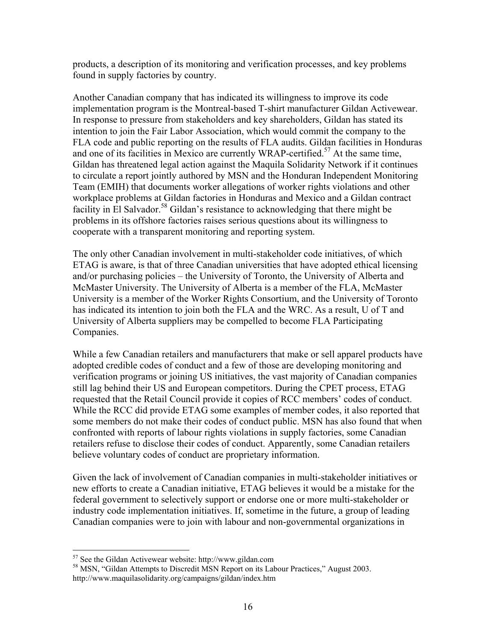products, a description of its monitoring and verification processes, and key problems found in supply factories by country.

Another Canadian company that has indicated its willingness to improve its code implementation program is the Montreal-based T-shirt manufacturer Gildan Activewear. In response to pressure from stakeholders and key shareholders, Gildan has stated its intention to join the Fair Labor Association, which would commit the company to the FLA code and public reporting on the results of FLA audits. Gildan facilities in Honduras and one of its facilities in Mexico are currently WRAP-certified.<sup>57</sup> At the same time, Gildan has threatened legal action against the Maquila Solidarity Network if it continues to circulate a report jointly authored by MSN and the Honduran Independent Monitoring Team (EMIH) that documents worker allegations of worker rights violations and other workplace problems at Gildan factories in Honduras and Mexico and a Gildan contract facility in El Salvador.<sup>58</sup> Gildan's resistance to acknowledging that there might be problems in its offshore factories raises serious questions about its willingness to cooperate with a transparent monitoring and reporting system.

The only other Canadian involvement in multi-stakeholder code initiatives, of which ETAG is aware, is that of three Canadian universities that have adopted ethical licensing and/or purchasing policies – the University of Toronto, the University of Alberta and McMaster University. The University of Alberta is a member of the FLA, McMaster University is a member of the Worker Rights Consortium, and the University of Toronto has indicated its intention to join both the FLA and the WRC. As a result, U of T and University of Alberta suppliers may be compelled to become FLA Participating Companies.

While a few Canadian retailers and manufacturers that make or sell apparel products have adopted credible codes of conduct and a few of those are developing monitoring and verification programs or joining US initiatives, the vast majority of Canadian companies still lag behind their US and European competitors. During the CPET process, ETAG requested that the Retail Council provide it copies of RCC members' codes of conduct. While the RCC did provide ETAG some examples of member codes, it also reported that some members do not make their codes of conduct public. MSN has also found that when confronted with reports of labour rights violations in supply factories, some Canadian retailers refuse to disclose their codes of conduct. Apparently, some Canadian retailers believe voluntary codes of conduct are proprietary information.

Given the lack of involvement of Canadian companies in multi-stakeholder initiatives or new efforts to create a Canadian initiative, ETAG believes it would be a mistake for the federal government to selectively support or endorse one or more multi-stakeholder or industry code implementation initiatives. If, sometime in the future, a group of leading Canadian companies were to join with labour and non-governmental organizations in

 $57$  See the Gildan Activewear website: http://www.gildan.com<br> $58$  MSN, "Gildan Attempts to Discredit MSN Report on its Labour Practices," August 2003. http://www.maquilasolidarity.org/campaigns/gildan/index.htm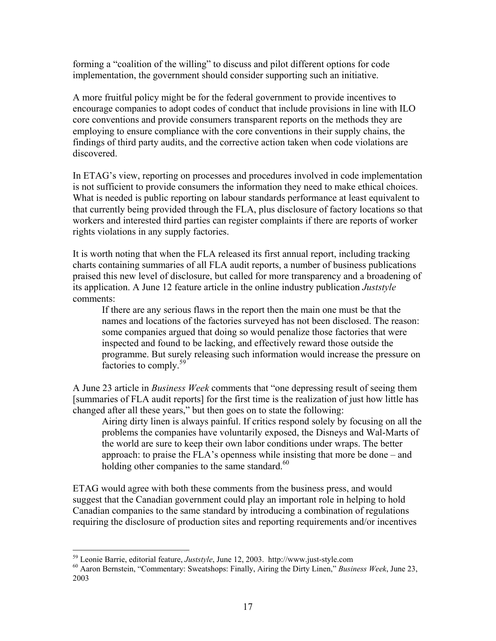forming a "coalition of the willing" to discuss and pilot different options for code implementation, the government should consider supporting such an initiative.

A more fruitful policy might be for the federal government to provide incentives to encourage companies to adopt codes of conduct that include provisions in line with ILO core conventions and provide consumers transparent reports on the methods they are employing to ensure compliance with the core conventions in their supply chains, the findings of third party audits, and the corrective action taken when code violations are discovered.

In ETAG's view, reporting on processes and procedures involved in code implementation is not sufficient to provide consumers the information they need to make ethical choices. What is needed is public reporting on labour standards performance at least equivalent to that currently being provided through the FLA, plus disclosure of factory locations so that workers and interested third parties can register complaints if there are reports of worker rights violations in any supply factories.

It is worth noting that when the FLA released its first annual report, including tracking charts containing summaries of all FLA audit reports, a number of business publications praised this new level of disclosure, but called for more transparency and a broadening of its application. A June 12 feature article in the online industry publication *Juststyle* comments:

If there are any serious flaws in the report then the main one must be that the names and locations of the factories surveyed has not been disclosed. The reason: some companies argued that doing so would penalize those factories that were inspected and found to be lacking, and effectively reward those outside the programme. But surely releasing such information would increase the pressure on factories to comply.<sup>59</sup>

A June 23 article in *Business Week* comments that "one depressing result of seeing them [summaries of FLA audit reports] for the first time is the realization of just how little has changed after all these years," but then goes on to state the following:

Airing dirty linen is always painful. If critics respond solely by focusing on all the problems the companies have voluntarily exposed, the Disneys and Wal-Marts of the world are sure to keep their own labor conditions under wraps. The better approach: to praise the FLA's openness while insisting that more be done – and holding other companies to the same standard. $60$ 

ETAG would agree with both these comments from the business press, and would suggest that the Canadian government could play an important role in helping to hold Canadian companies to the same standard by introducing a combination of regulations requiring the disclosure of production sites and reporting requirements and/or incentives

<sup>59</sup> Leonie Barrie, editorial feature, *Juststyle*, June 12, 2003. http://www.just-style.com 60 Aaron Bernstein, "Commentary: Sweatshops: Finally, Airing the Dirty Linen," *Business Week*, June 23, 2003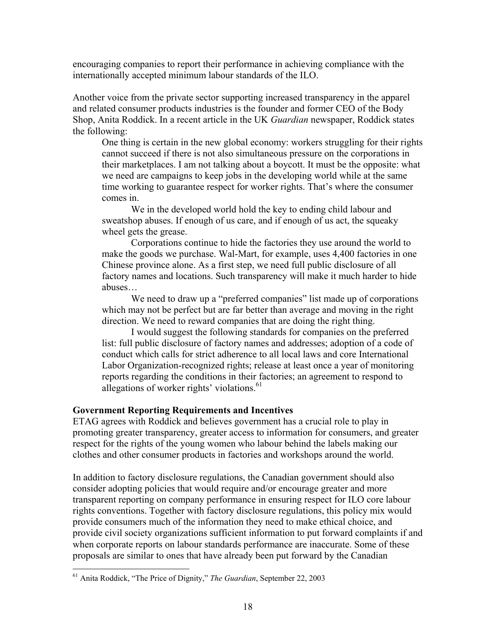encouraging companies to report their performance in achieving compliance with the internationally accepted minimum labour standards of the ILO.

Another voice from the private sector supporting increased transparency in the apparel and related consumer products industries is the founder and former CEO of the Body Shop, Anita Roddick. In a recent article in the UK *Guardian* newspaper, Roddick states the following:

One thing is certain in the new global economy: workers struggling for their rights cannot succeed if there is not also simultaneous pressure on the corporations in their marketplaces. I am not talking about a boycott. It must be the opposite: what we need are campaigns to keep jobs in the developing world while at the same time working to guarantee respect for worker rights. That's where the consumer comes in.

 We in the developed world hold the key to ending child labour and sweatshop abuses. If enough of us care, and if enough of us act, the squeaky wheel gets the grease.

 Corporations continue to hide the factories they use around the world to make the goods we purchase. Wal-Mart, for example, uses 4,400 factories in one Chinese province alone. As a first step, we need full public disclosure of all factory names and locations. Such transparency will make it much harder to hide abuses…

We need to draw up a "preferred companies" list made up of corporations which may not be perfect but are far better than average and moving in the right direction. We need to reward companies that are doing the right thing.

 I would suggest the following standards for companies on the preferred list: full public disclosure of factory names and addresses; adoption of a code of conduct which calls for strict adherence to all local laws and core International Labor Organization-recognized rights; release at least once a year of monitoring reports regarding the conditions in their factories; an agreement to respond to allegations of worker rights' violations. $61$ 

#### **Government Reporting Requirements and Incentives**

ETAG agrees with Roddick and believes government has a crucial role to play in promoting greater transparency, greater access to information for consumers, and greater respect for the rights of the young women who labour behind the labels making our clothes and other consumer products in factories and workshops around the world.

In addition to factory disclosure regulations, the Canadian government should also consider adopting policies that would require and/or encourage greater and more transparent reporting on company performance in ensuring respect for ILO core labour rights conventions. Together with factory disclosure regulations, this policy mix would provide consumers much of the information they need to make ethical choice, and provide civil society organizations sufficient information to put forward complaints if and when corporate reports on labour standards performance are inaccurate. Some of these proposals are similar to ones that have already been put forward by the Canadian

<sup>61</sup> Anita Roddick, "The Price of Dignity," *The Guardian*, September 22, 2003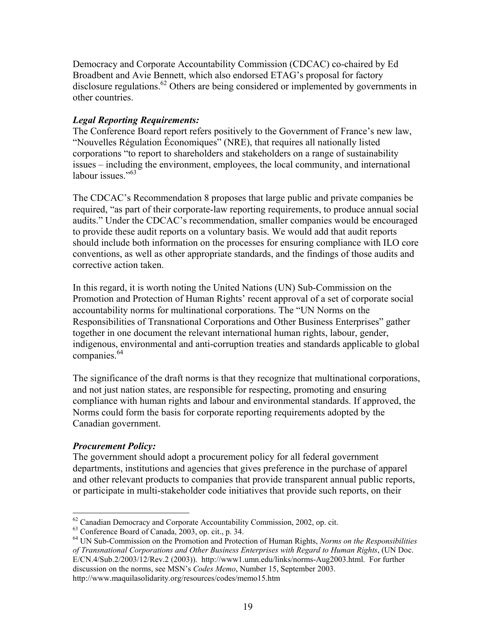Democracy and Corporate Accountability Commission (CDCAC) co-chaired by Ed Broadbent and Avie Bennett, which also endorsed ETAG's proposal for factory disclosure regulations.<sup>62</sup> Others are being considered or implemented by governments in other countries.

## *Legal Reporting Requirements:*

The Conference Board report refers positively to the Government of France's new law, "Nouvelles Régulation Économiques" (NRE), that requires all nationally listed corporations "to report to shareholders and stakeholders on a range of sustainability issues – including the environment, employees, the local community, and international labour issues."<sup>63</sup>

The CDCAC's Recommendation 8 proposes that large public and private companies be required, "as part of their corporate-law reporting requirements, to produce annual social audits." Under the CDCAC's recommendation, smaller companies would be encouraged to provide these audit reports on a voluntary basis. We would add that audit reports should include both information on the processes for ensuring compliance with ILO core conventions, as well as other appropriate standards, and the findings of those audits and corrective action taken.

In this regard, it is worth noting the United Nations (UN) Sub-Commission on the Promotion and Protection of Human Rights' recent approval of a set of corporate social accountability norms for multinational corporations. The "UN Norms on the Responsibilities of Transnational Corporations and Other Business Enterprises" gather together in one document the relevant international human rights, labour, gender, indigenous, environmental and anti-corruption treaties and standards applicable to global companies.<sup>64</sup>

The significance of the draft norms is that they recognize that multinational corporations, and not just nation states, are responsible for respecting, promoting and ensuring compliance with human rights and labour and environmental standards. If approved, the Norms could form the basis for corporate reporting requirements adopted by the Canadian government.

## *Procurement Policy:*

The government should adopt a procurement policy for all federal government departments, institutions and agencies that gives preference in the purchase of apparel and other relevant products to companies that provide transparent annual public reports, or participate in multi-stakeholder code initiatives that provide such reports, on their

http://www.maquilasolidarity.org/resources/codes/memo15.htm

 $\overline{a}$  $^{62}$  Canadian Democracy and Corporate Accountability Commission, 2002, op. cit.  $^{63}$  Conference Board of Canada, 2003, op. cit., p. 34.

<sup>64</sup> UN Sub-Commission on the Promotion and Protection of Human Rights, *Norms on the Responsibilities of Transnational Corporations and Other Business Enterprises with Regard to Human Rights*, (UN Doc. E/CN.4/Sub.2/2003/12/Rev.2 (2003)). http://www1.umn.edu/links/norms-Aug2003.html. For further discussion on the norms, see MSN's *Codes Memo*, Number 15, September 2003.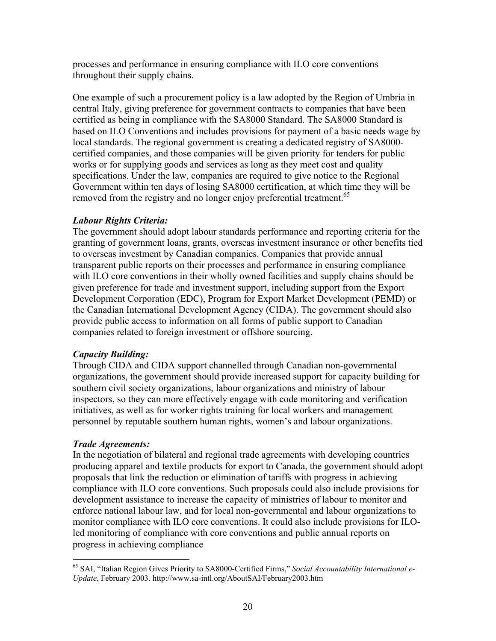processes and performance in ensuring compliance with ILO core conventions throughout their supply chains.

One example of such a procurement policy is a law adopted by the Region of Umbria in central Italy, giving preference for government contracts to companies that have been certified as being in compliance with the SA8000 Standard. The SA8000 Standard is based on ILO Conventions and includes provisions for payment of a basic needs wage by local standards. The regional government is creating a dedicated registry of SA8000 certified companies, and those companies will be given priority for tenders for public works or for supplying goods and services as long as they meet cost and quality specifications. Under the law, companies are required to give notice to the Regional Government within ten days of losing SA8000 certification, at which time they will be removed from the registry and no longer enjoy preferential treatment.<sup>65</sup>

## *Labour Rights Criteria:*

The government should adopt labour standards performance and reporting criteria for the granting of government loans, grants, overseas investment insurance or other benefits tied to overseas investment by Canadian companies. Companies that provide annual transparent public reports on their processes and performance in ensuring compliance with ILO core conventions in their wholly owned facilities and supply chains should be given preference for trade and investment support, including support from the Export Development Corporation (EDC), Program for Export Market Development (PEMD) or the Canadian International Development Agency (CIDA). The government should also provide public access to information on all forms of public support to Canadian companies related to foreign investment or offshore sourcing.

# *Capacity Building:*

Through CIDA and CIDA support channelled through Canadian non-governmental organizations, the government should provide increased support for capacity building for southern civil society organizations, labour organizations and ministry of labour inspectors, so they can more effectively engage with code monitoring and verification initiatives, as well as for worker rights training for local workers and management personnel by reputable southern human rights, women's and labour organizations.

## *Trade Agreements:*

 $\overline{a}$ 

In the negotiation of bilateral and regional trade agreements with developing countries producing apparel and textile products for export to Canada, the government should adopt proposals that link the reduction or elimination of tariffs with progress in achieving compliance with ILO core conventions. Such proposals could also include provisions for development assistance to increase the capacity of ministries of labour to monitor and enforce national labour law, and for local non-governmental and labour organizations to monitor compliance with ILO core conventions. It could also include provisions for ILOled monitoring of compliance with core conventions and public annual reports on progress in achieving compliance

<sup>65</sup> SAI, "Italian Region Gives Priority to SA8000-Certified Firms," *Social Accountability International e-Update*, February 2003. http://www.sa-intl.org/AboutSAI/February2003.htm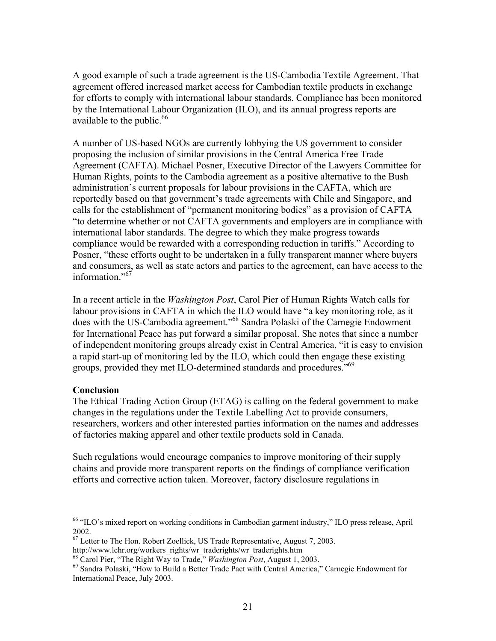A good example of such a trade agreement is the US-Cambodia Textile Agreement. That agreement offered increased market access for Cambodian textile products in exchange for efforts to comply with international labour standards. Compliance has been monitored by the International Labour Organization (ILO), and its annual progress reports are available to the public. $66$ 

A number of US-based NGOs are currently lobbying the US government to consider proposing the inclusion of similar provisions in the Central America Free Trade Agreement (CAFTA). Michael Posner, Executive Director of the Lawyers Committee for Human Rights, points to the Cambodia agreement as a positive alternative to the Bush administration's current proposals for labour provisions in the CAFTA, which are reportedly based on that government's trade agreements with Chile and Singapore, and calls for the establishment of "permanent monitoring bodies" as a provision of CAFTA "to determine whether or not CAFTA governments and employers are in compliance with international labor standards. The degree to which they make progress towards compliance would be rewarded with a corresponding reduction in tariffs." According to Posner, "these efforts ought to be undertaken in a fully transparent manner where buyers and consumers, as well as state actors and parties to the agreement, can have access to the information."<sup>67</sup>

In a recent article in the *Washington Post*, Carol Pier of Human Rights Watch calls for labour provisions in CAFTA in which the ILO would have "a key monitoring role, as it does with the US-Cambodia agreement."68 Sandra Polaski of the Carnegie Endowment for International Peace has put forward a similar proposal. She notes that since a number of independent monitoring groups already exist in Central America, "it is easy to envision a rapid start-up of monitoring led by the ILO, which could then engage these existing groups, provided they met ILO-determined standards and procedures."<sup>69</sup>

#### **Conclusion**

 $\overline{a}$ 

The Ethical Trading Action Group (ETAG) is calling on the federal government to make changes in the regulations under the Textile Labelling Act to provide consumers, researchers, workers and other interested parties information on the names and addresses of factories making apparel and other textile products sold in Canada.

Such regulations would encourage companies to improve monitoring of their supply chains and provide more transparent reports on the findings of compliance verification efforts and corrective action taken. Moreover, factory disclosure regulations in

<sup>&</sup>lt;sup>66</sup> "ILO's mixed report on working conditions in Cambodian garment industry," ILO press release, April 2002.

 $67$  Letter to The Hon. Robert Zoellick, US Trade Representative, August 7, 2003.

http://www.lchr.org/workers\_rights/wr\_traderights/wr\_traderights.htm<br><sup>68</sup> Carol Pier, "The Right Way to Trade," *Washington Post*, August 1, 2003.<br><sup>69</sup> Sandra Polaski, "How to Build a Better Trade Pact with Central America International Peace, July 2003.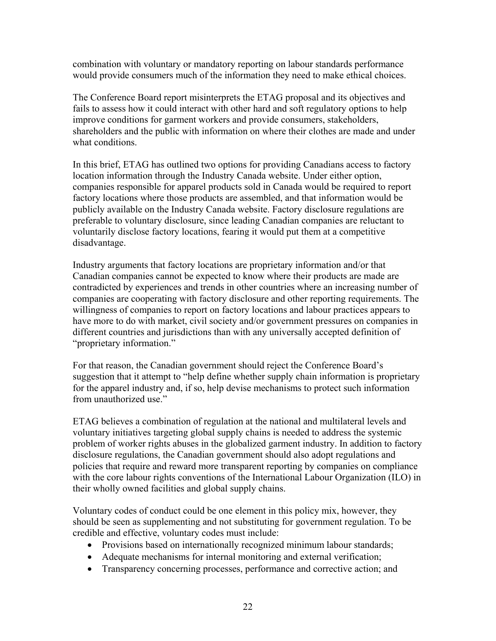combination with voluntary or mandatory reporting on labour standards performance would provide consumers much of the information they need to make ethical choices.

The Conference Board report misinterprets the ETAG proposal and its objectives and fails to assess how it could interact with other hard and soft regulatory options to help improve conditions for garment workers and provide consumers, stakeholders, shareholders and the public with information on where their clothes are made and under what conditions.

In this brief, ETAG has outlined two options for providing Canadians access to factory location information through the Industry Canada website. Under either option, companies responsible for apparel products sold in Canada would be required to report factory locations where those products are assembled, and that information would be publicly available on the Industry Canada website. Factory disclosure regulations are preferable to voluntary disclosure, since leading Canadian companies are reluctant to voluntarily disclose factory locations, fearing it would put them at a competitive disadvantage.

Industry arguments that factory locations are proprietary information and/or that Canadian companies cannot be expected to know where their products are made are contradicted by experiences and trends in other countries where an increasing number of companies are cooperating with factory disclosure and other reporting requirements. The willingness of companies to report on factory locations and labour practices appears to have more to do with market, civil society and/or government pressures on companies in different countries and jurisdictions than with any universally accepted definition of "proprietary information."

For that reason, the Canadian government should reject the Conference Board's suggestion that it attempt to "help define whether supply chain information is proprietary for the apparel industry and, if so, help devise mechanisms to protect such information from unauthorized use."

ETAG believes a combination of regulation at the national and multilateral levels and voluntary initiatives targeting global supply chains is needed to address the systemic problem of worker rights abuses in the globalized garment industry. In addition to factory disclosure regulations, the Canadian government should also adopt regulations and policies that require and reward more transparent reporting by companies on compliance with the core labour rights conventions of the International Labour Organization (ILO) in their wholly owned facilities and global supply chains.

Voluntary codes of conduct could be one element in this policy mix, however, they should be seen as supplementing and not substituting for government regulation. To be credible and effective, voluntary codes must include:

- Provisions based on internationally recognized minimum labour standards;
- Adequate mechanisms for internal monitoring and external verification;
- Transparency concerning processes, performance and corrective action; and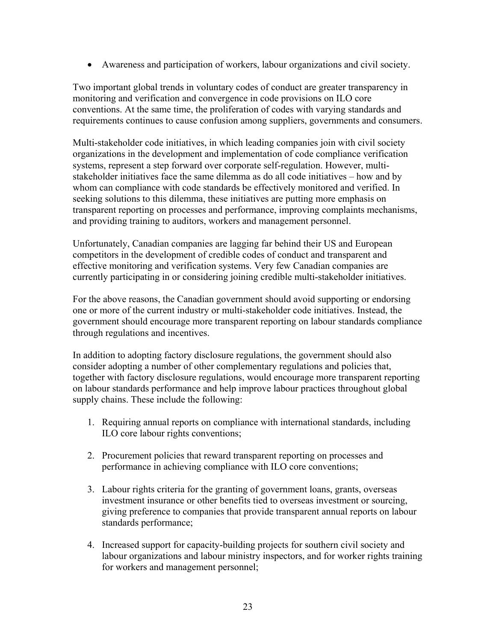• Awareness and participation of workers, labour organizations and civil society.

Two important global trends in voluntary codes of conduct are greater transparency in monitoring and verification and convergence in code provisions on ILO core conventions. At the same time, the proliferation of codes with varying standards and requirements continues to cause confusion among suppliers, governments and consumers.

Multi-stakeholder code initiatives, in which leading companies join with civil society organizations in the development and implementation of code compliance verification systems, represent a step forward over corporate self-regulation. However, multistakeholder initiatives face the same dilemma as do all code initiatives – how and by whom can compliance with code standards be effectively monitored and verified. In seeking solutions to this dilemma, these initiatives are putting more emphasis on transparent reporting on processes and performance, improving complaints mechanisms, and providing training to auditors, workers and management personnel.

Unfortunately, Canadian companies are lagging far behind their US and European competitors in the development of credible codes of conduct and transparent and effective monitoring and verification systems. Very few Canadian companies are currently participating in or considering joining credible multi-stakeholder initiatives.

For the above reasons, the Canadian government should avoid supporting or endorsing one or more of the current industry or multi-stakeholder code initiatives. Instead, the government should encourage more transparent reporting on labour standards compliance through regulations and incentives.

In addition to adopting factory disclosure regulations, the government should also consider adopting a number of other complementary regulations and policies that, together with factory disclosure regulations, would encourage more transparent reporting on labour standards performance and help improve labour practices throughout global supply chains. These include the following:

- 1. Requiring annual reports on compliance with international standards, including ILO core labour rights conventions;
- 2. Procurement policies that reward transparent reporting on processes and performance in achieving compliance with ILO core conventions;
- 3. Labour rights criteria for the granting of government loans, grants, overseas investment insurance or other benefits tied to overseas investment or sourcing, giving preference to companies that provide transparent annual reports on labour standards performance;
- 4. Increased support for capacity-building projects for southern civil society and labour organizations and labour ministry inspectors, and for worker rights training for workers and management personnel;